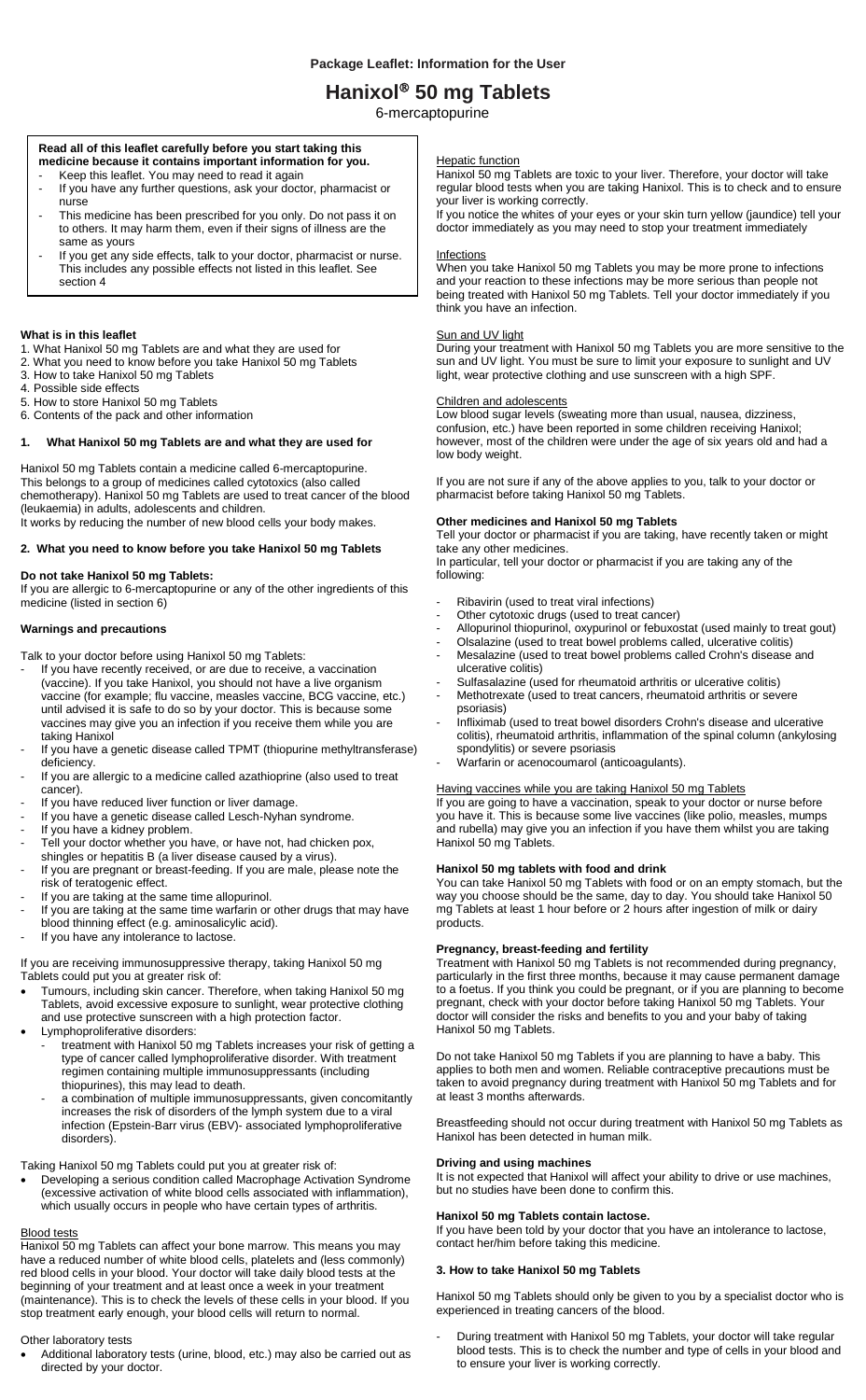# **Hanixol 50 mg Tablets**

6-mercaptopurine

### **Read all of this leaflet carefully before you start taking this medicine because it contains important information for you.**

- Keep this leaflet. You may need to read it again
- If you have any further questions, ask your doctor, pharmacist or nurse This medicine has been prescribed for you only. Do not pass it on
- to others. It may harm them, even if their signs of illness are the same as yours
- If you get any side effects, talk to your doctor, pharmacist or nurse. This includes any possible effects not listed in this leaflet. See section 4

## **What is in this leaflet**

- 1. What Hanixol 50 mg Tablets are and what they are used for
- 2. What you need to know before you take Hanixol 50 mg Tablets
- 3. How to take Hanixol 50 mg Tablets
- 4. Possible side effects
- 5. How to store Hanixol 50 mg Tablets 6. Contents of the pack and other information

### **1. What Hanixol 50 mg Tablets are and what they are used for**

Hanixol 50 mg Tablets contain a medicine called 6-mercaptopurine. This belongs to a group of medicines called cytotoxics (also called chemotherapy). Hanixol 50 mg Tablets are used to treat cancer of the blood (leukaemia) in adults, adolescents and children. It works by reducing the number of new blood cells your body makes.

### **2. What you need to know before you take Hanixol 50 mg Tablets**

**Do not take Hanixol 50 mg Tablets:** 

If you are allergic to 6-mercaptopurine or any of the other ingredients of this medicine (listed in section 6)

### **Warnings and precautions**

Talk to your doctor before using Hanixol 50 mg Tablets:

- If you have recently received, or are due to receive, a vaccination (vaccine). If you take Hanixol, you should not have a live organism vaccine (for example; flu vaccine, measles vaccine, BCG vaccine, etc.) until advised it is safe to do so by your doctor. This is because some vaccines may give you an infection if you receive them while you are taking Hanixol
- If you have a genetic disease called TPMT (thiopurine methyltransferase) deficiency.
- If you are allergic to a medicine called azathioprine (also used to treat cancer).
- If you have reduced liver function or liver damage.
- If you have a genetic disease called Lesch-Nyhan syndrome.
- If you have a kidney problem.
- Tell your doctor whether you have, or have not, had chicken pox,
- shingles or hepatitis B (a liver disease caused by a virus). If you are pregnant or breast-feeding. If you are male, please note the risk of teratogenic effect.
- If you are taking at the same time allopurinol.
- If you are taking at the same time warfarin or other drugs that may have blood thinning effect (e.g. aminosalicylic acid).
- If you have any intolerance to lactose.

If you are receiving immunosuppressive therapy, taking Hanixol 50 mg Tablets could put you at greater risk of:

- Tumours, including skin cancer. Therefore, when taking Hanixol 50 mg Tablets, avoid excessive exposure to sunlight, wear protective clothing and use protective sunscreen with a high protection factor.
- Lymphoproliferative disorders:
	- treatment with Hanixol 50 mg Tablets increases your risk of getting a type of cancer called lymphoproliferative disorder. With treatment regimen containing multiple immunosuppressants (including thiopurines), this may lead to death.
	- a combination of multiple immunosuppressants, given concomitantly increases the risk of disorders of the lymph system due to a viral infection (Epstein-Barr virus (EBV)- associated lymphoproliferative disorders).

### Taking Hanixol 50 mg Tablets could put you at greater risk of:

 Developing a serious condition called Macrophage Activation Syndrome (excessive activation of white blood cells associated with inflammation), which usually occurs in people who have certain types of arthritis.

#### Blood tests

Hanixol 50 mg Tablets can affect your bone marrow. This means you may have a reduced number of white blood cells, platelets and (less commonly) red blood cells in your blood. Your doctor will take daily blood tests at the beginning of your treatment and at least once a week in your treatment (maintenance). This is to check the levels of these cells in your blood. If you stop treatment early enough, your blood cells will return to normal.

#### Other laboratory tests

 Additional laboratory tests (urine, blood, etc.) may also be carried out as directed by your doctor.

#### **Hepatic function**

Hanixol 50 mg Tablets are toxic to your liver. Therefore, your doctor will take regular blood tests when you are taking Hanixol. This is to check and to ensure your liver is working correctly.

If you notice the whites of your eyes or your skin turn yellow (jaundice) tell your doctor immediately as you may need to stop your treatment immediately

#### **Infections**

When you take Hanixol 50 mg Tablets you may be more prone to infections and your reaction to these infections may be more serious than people not being treated with Hanixol 50 mg Tablets. Tell your doctor immediately if you think you have an infection.

#### **Sun and UV light**

During your treatment with Hanixol 50 mg Tablets you are more sensitive to the sun and UV light. You must be sure to limit your exposure to sunlight and UV light, wear protective clothing and use sunscreen with a high SPF.

#### Children and adolescents

Low blood sugar levels (sweating more than usual, nausea, dizziness, confusion, etc.) have been reported in some children receiving Hanixol; however, most of the children were under the age of six years old and had a low body weight.

If you are not sure if any of the above applies to you, talk to your doctor or pharmacist before taking Hanixol 50 mg Tablets.

## **Other medicines and Hanixol 50 mg Tablets**

Tell your doctor or pharmacist if you are taking, have recently taken or might take any other medicines.

In particular, tell your doctor or pharmacist if you are taking any of the following:

- Ribavirin (used to treat viral infections)
- Other cytotoxic drugs (used to treat cancer)
- Allopurinol thiopurinol, oxypurinol or febuxostat (used mainly to treat gout)
- Olsalazine (used to treat bowel problems called, ulcerative colitis)
	- Mesalazine (used to treat bowel problems called Crohn's disease and ulcerative colitis)
	- Sulfasalazine (used for rheumatoid arthritis or ulcerative colitis)
	- Methotrexate (used to treat cancers, rheumatoid arthritis or severe psoriasis)
	- Infliximab (used to treat bowel disorders Crohn's disease and ulcerative colitis), rheumatoid arthritis, inflammation of the spinal column (ankylosing spondylitis) or severe psoriasis
	- Warfarin or acenocoumarol (anticoagulants).

#### Having vaccines while you are taking Hanixol 50 mg Tablets

If you are going to have a vaccination, speak to your doctor or nurse before you have it. This is because some live vaccines (like polio, measles, mumps and rubella) may give you an infection if you have them whilst you are taking Hanixol 50 mg Tablets.

## **Hanixol 50 mg tablets with food and drink**

You can take Hanixol 50 mg Tablets with food or on an empty stomach, but the way you choose should be the same, day to day. You should take Hanixol 50 mg Tablets at least 1 hour before or 2 hours after ingestion of milk or dairy products.

#### **Pregnancy, breast-feeding and fertility**

Treatment with Hanixol 50 mg Tablets is not recommended during pregnancy, particularly in the first three months, because it may cause permanent damage to a foetus. If you think you could be pregnant, or if you are planning to become pregnant, check with your doctor before taking Hanixol 50 mg Tablets. Your doctor will consider the risks and benefits to you and your baby of taking Hanixol 50 mg Tablets.

Do not take Hanixol 50 mg Tablets if you are planning to have a baby. This applies to both men and women. Reliable contraceptive precautions must be taken to avoid pregnancy during treatment with Hanixol 50 mg Tablets and for at least 3 months afterwards.

Breastfeeding should not occur during treatment with Hanixol 50 mg Tablets as Hanixol has been detected in human milk.

## **Driving and using machines**

It is not expected that Hanixol will affect your ability to drive or use machines, but no studies have been done to confirm this.

#### **Hanixol 50 mg Tablets contain lactose.**

If you have been told by your doctor that you have an intolerance to lactose, contact her/him before taking this medicine.

#### **3. How to take Hanixol 50 mg Tablets**

Hanixol 50 mg Tablets should only be given to you by a specialist doctor who is experienced in treating cancers of the blood.

- During treatment with Hanixol 50 mg Tablets, your doctor will take regular blood tests. This is to check the number and type of cells in your blood and to ensure your liver is working correctly.